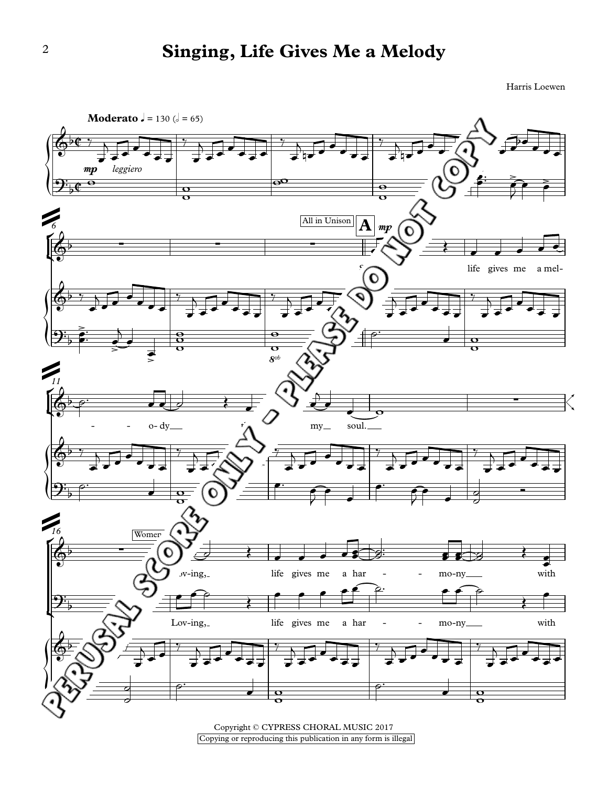Harris Loewen



Copying or reproducing this publication in any form is illegal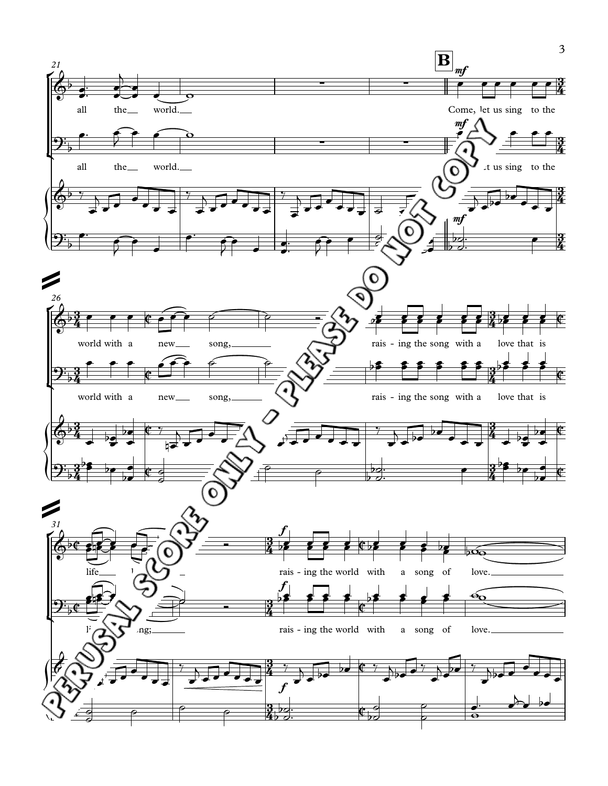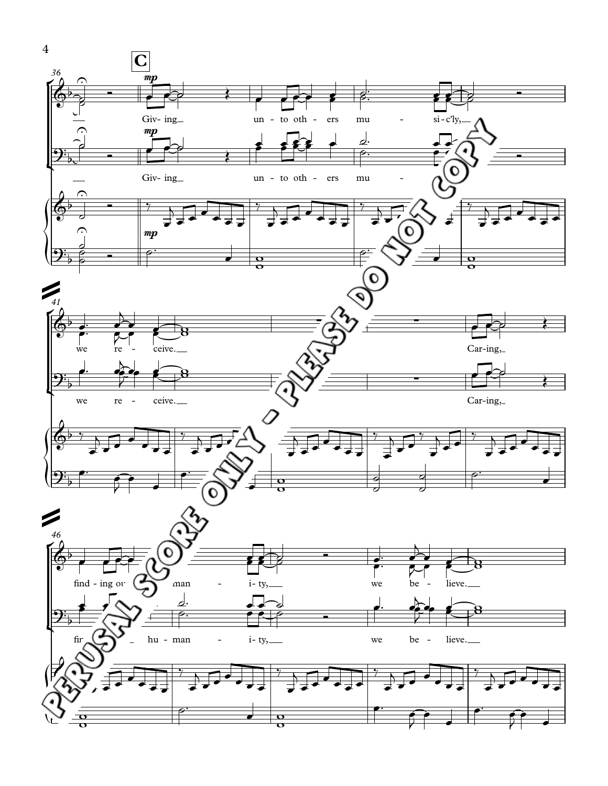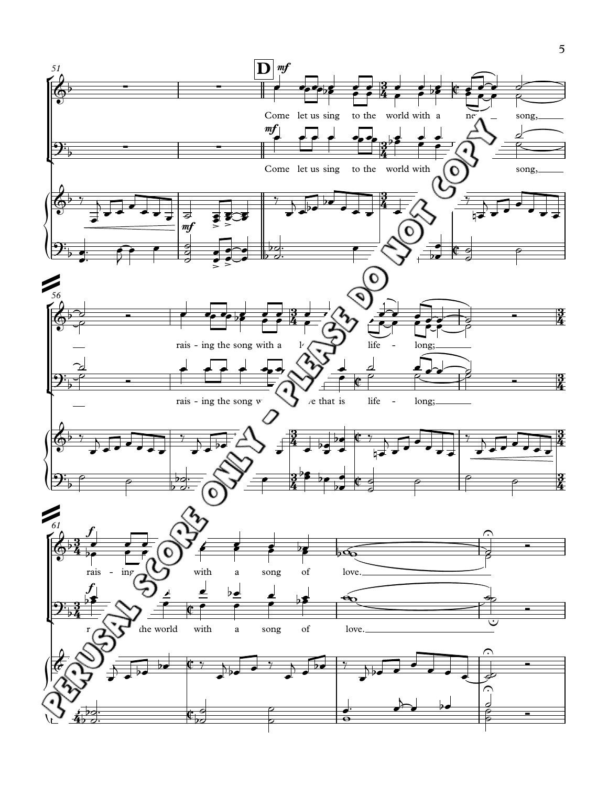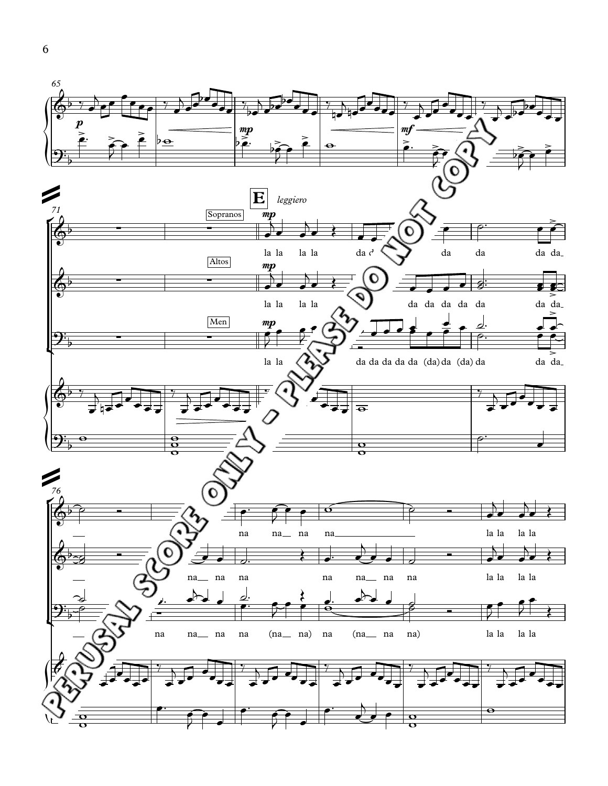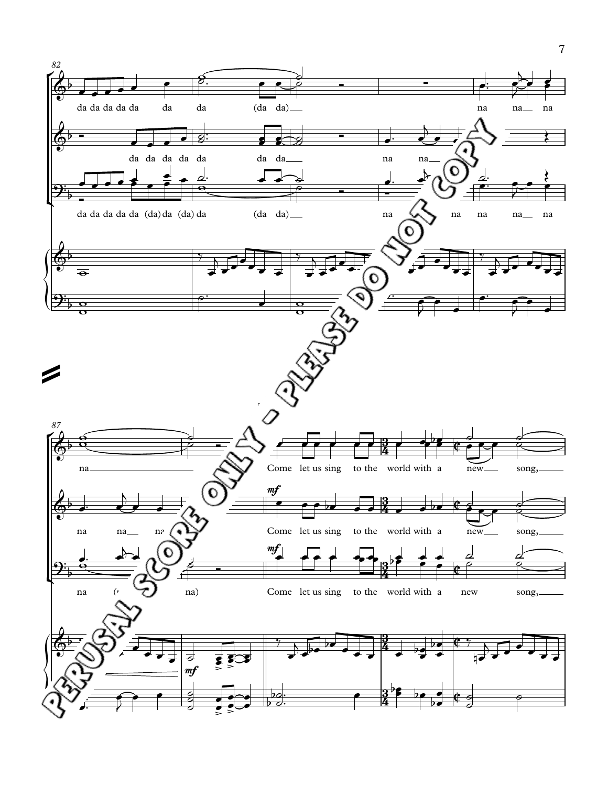